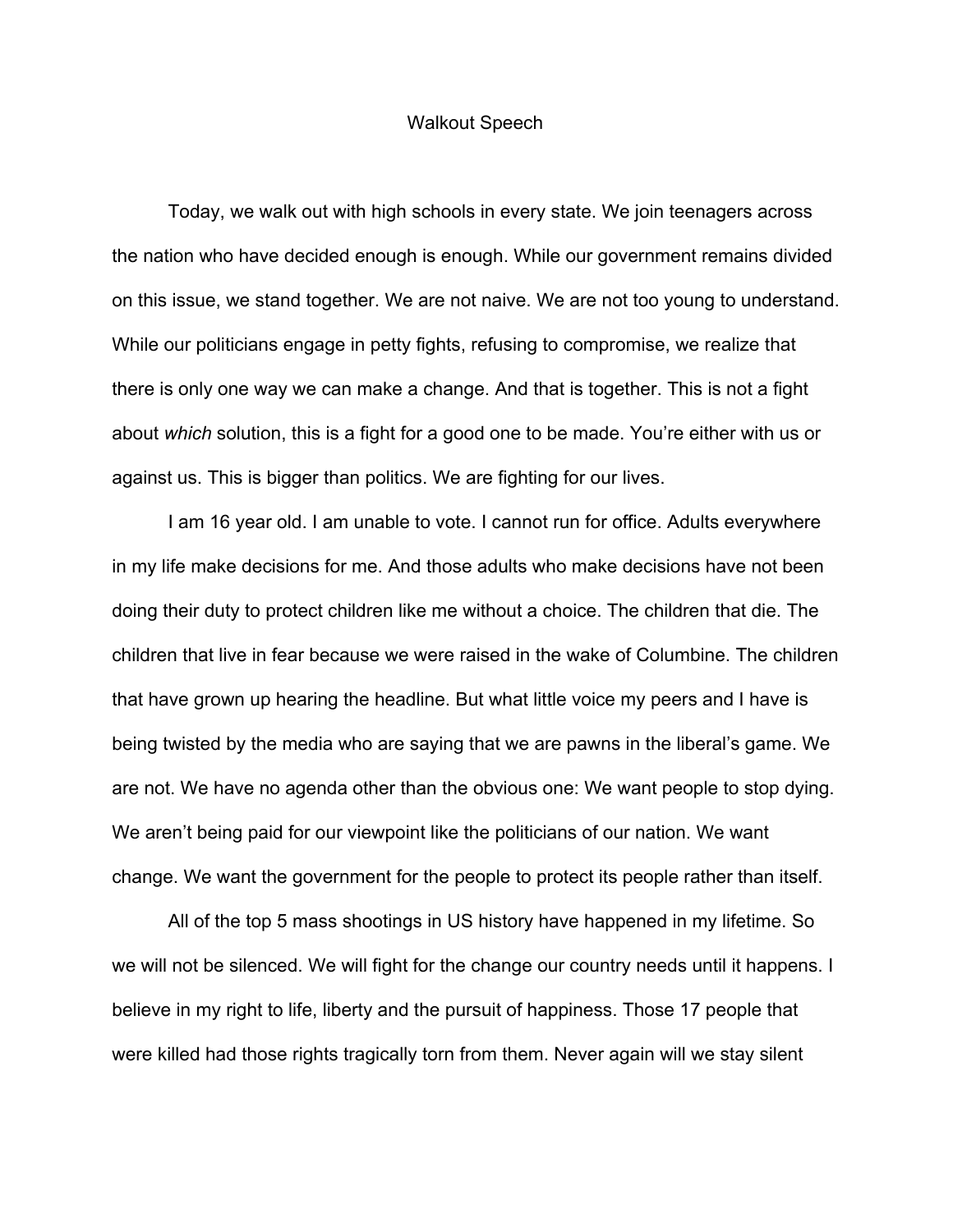## Walkout Speech

Today, we walk out with high schools in every state. We join teenagers across the nation who have decided enough is enough. While our government remains divided on this issue, we stand together. We are not naive. We are not too young to understand. While our politicians engage in petty fights, refusing to compromise, we realize that there is only one way we can make a change. And that is together. This is not a fight about *which* solution, this is a fight for a good one to be made. You're either with us or against us. This is bigger than politics. We are fighting for our lives.

I am 16 year old. I am unable to vote. I cannot run for office. Adults everywhere in my life make decisions for me. And those adults who make decisions have not been doing their duty to protect children like me without a choice. The children that die. The children that live in fear because we were raised in the wake of Columbine. The children that have grown up hearing the headline. But what little voice my peers and I have is being twisted by the media who are saying that we are pawns in the liberal's game. We are not. We have no agenda other than the obvious one: We want people to stop dying. We aren't being paid for our viewpoint like the politicians of our nation. We want change. We want the government for the people to protect its people rather than itself.

All of the top 5 mass shootings in US history have happened in my lifetime. So we will not be silenced. We will fight for the change our country needs until it happens. I believe in my right to life, liberty and the pursuit of happiness. Those 17 people that were killed had those rights tragically torn from them. Never again will we stay silent